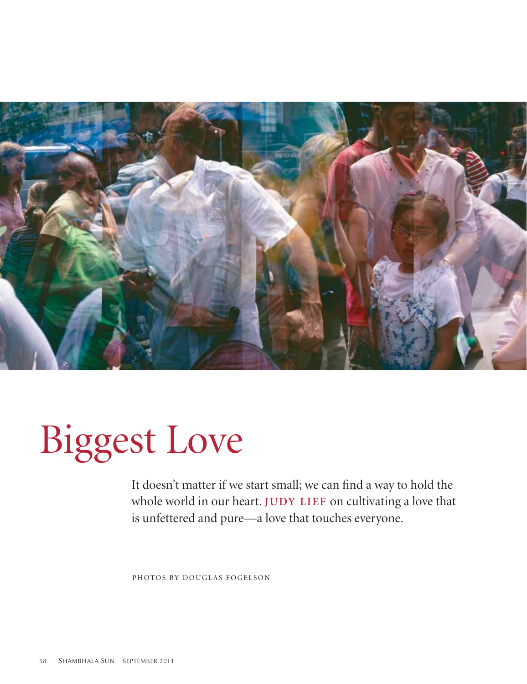

# Biggest Love

It doesn't matter if we start small; we can find a way to hold the whole world in our heart. **JUDY LIEF** on cultivating a love that is unfettered and pure—a love that touches everyone.

photos by douglas fogelson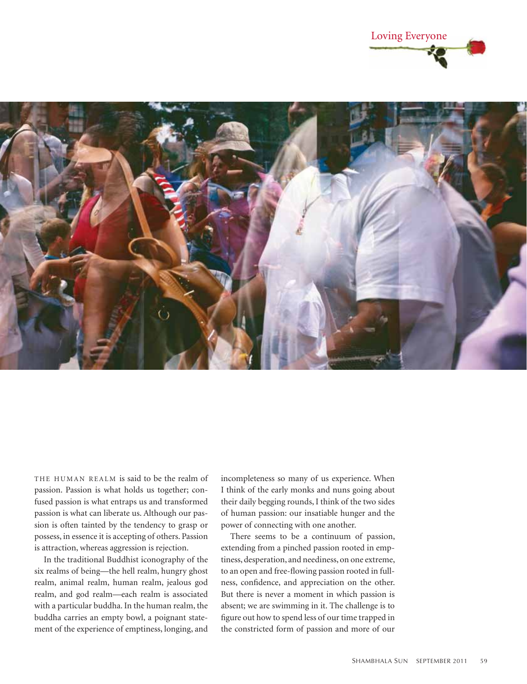



THE HUMAN REALM is said to be the realm of passion. Passion is what holds us together; confused passion is what entraps us and transformed passion is what can liberate us. Although our passion is often tainted by the tendency to grasp or possess, in essence it is accepting of others. Passion is attraction, whereas aggression is rejection.

In the traditional Buddhist iconography of the six realms of being—the hell realm, hungry ghost realm, animal realm, human realm, jealous god realm, and god realm—each realm is associated with a particular buddha. In the human realm, the buddha carries an empty bowl, a poignant statement of the experience of emptiness, longing, and

incompleteness so many of us experience. When I think of the early monks and nuns going about their daily begging rounds, I think of the two sides of human passion: our insatiable hunger and the power of connecting with one another.

There seems to be a continuum of passion, extending from a pinched passion rooted in emptiness, desperation, and neediness, on one extreme, to an open and free-flowing passion rooted in fullness, confidence, and appreciation on the other. But there is never a moment in which passion is absent; we are swimming in it. The challenge is to figure out how to spend less of our time trapped in the constricted form of passion and more of our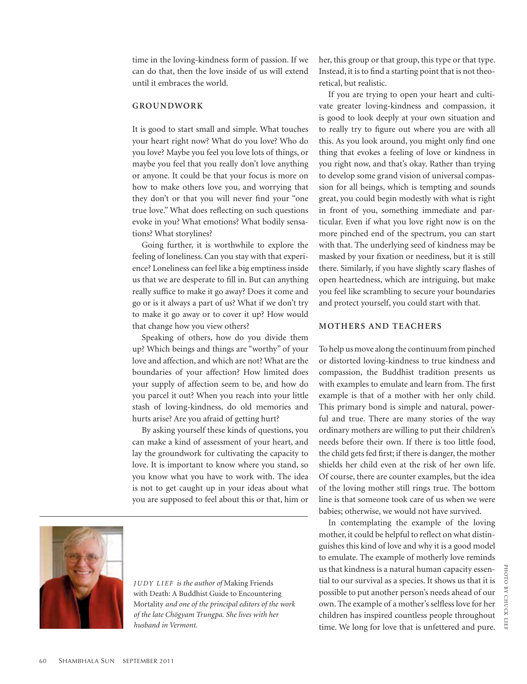time in the loving-kindness form of passion. If we can do that, then the love inside of us will extend until it embraces the world.

## **Groundwork**

It is good to start small and simple. What touches your heart right now? What do you love? Who do you love? Maybe you feel you love lots of things, or maybe you feel that you really don't love anything or anyone. It could be that your focus is more on how to make others love you, and worrying that they don't or that you will never find your "one true love." What does reflecting on such questions evoke in you? What emotions? What bodily sensations? What storylines?

Going further, it is worthwhile to explore the feeling of loneliness. Can you stay with that experience? Loneliness can feel like a big emptiness inside us that we are desperate to fill in. But can anything really suffice to make it go away? Does it come and go or is it always a part of us? What if we don't try to make it go away or to cover it up? How would that change how you view others?

Speaking of others, how do you divide them up? Which beings and things are "worthy" of your love and affection, and which are not? What are the boundaries of your affection? How limited does your supply of affection seem to be, and how do you parcel it out? When you reach into your little stash of loving-kindness, do old memories and hurts arise? Are you afraid of getting hurt?

By asking yourself these kinds of questions, you can make a kind of assessment of your heart, and lay the groundwork for cultivating the capacity to love. It is important to know where you stand, so you know what you have to work with. The idea is not to get caught up in your ideas about what you are supposed to feel about this or that, him or



*Judy LieF is the author of* Making Friends with Death: A Buddhist Guide to Encountering Mortality *and one of the principal editors of the work of the late Chögyam Trungpa. She lives with her husband in Vermont.*

her, this group or that group, this type or that type. Instead, it is to find a starting point that is not theoretical, but realistic.

If you are trying to open your heart and cultivate greater loving-kindness and compassion, it is good to look deeply at your own situation and to really try to figure out where you are with all this. As you look around, you might only find one thing that evokes a feeling of love or kindness in you right now, and that's okay. Rather than trying to develop some grand vision of universal compassion for all beings, which is tempting and sounds great, you could begin modestly with what is right in front of you, something immediate and particular. Even if what you love right now is on the more pinched end of the spectrum, you can start with that. The underlying seed of kindness may be masked by your fixation or neediness, but it is still there. Similarly, if you have slightly scary flashes of open heartedness, which are intriguing, but make you feel like scrambling to secure your boundaries and protect yourself, you could start with that.

## **Mothers and Teachers**

To help us move along the continuum from pinched or distorted loving-kindness to true kindness and compassion, the Buddhist tradition presents us with examples to emulate and learn from. The first example is that of a mother with her only child. This primary bond is simple and natural, powerful and true. There are many stories of the way ordinary mothers are willing to put their children's needs before their own. If there is too little food, the child gets fed first; if there is danger, the mother shields her child even at the risk of her own life. Of course, there are counter examples, but the idea of the loving mother still rings true. The bottom line is that someone took care of us when we were babies; otherwise, we would not have survived.

In contemplating the example of the loving mother, it could be helpful to reflect on what distinguishes this kind of love and why it is a good model to emulate. The example of motherly love reminds us that kindness is a natural human capacity essential to our survival as a species. It shows us that it is possible to put another person's needs ahead of our own. The example of a mother's selfless love for her children has inspired countless people throughout time. We long for love that is unfettered and pure.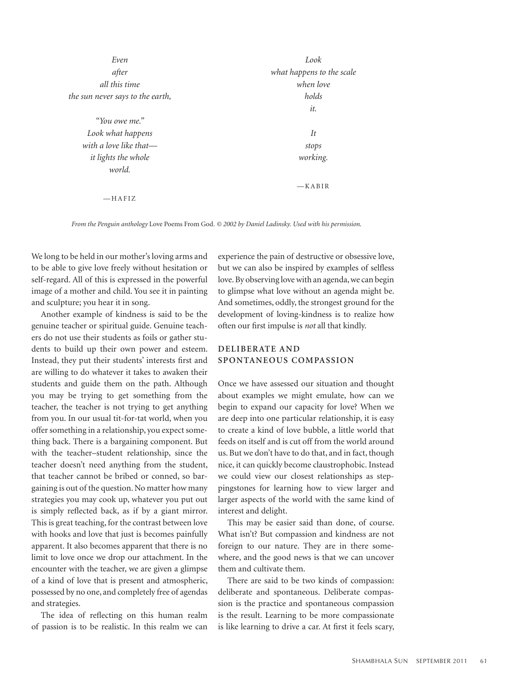| Even                             | Look                      |
|----------------------------------|---------------------------|
| after                            | what happens to the scale |
| all this time                    | when love                 |
| the sun never says to the earth, | holds                     |
|                                  | it.                       |
| "You owe me."                    |                           |
| Look what happens                | It                        |
| with a love like that—           | stops                     |
| it lights the whole              | working.                  |
| world.                           |                           |
|                                  | $-KABIR$                  |
| $-HAFIZ$                         |                           |

*From the Penguin anthology* Love Poems From God*. © 2002 by Daniel Ladinsky. Used with his permission.*

We long to be held in our mother's loving arms and to be able to give love freely without hesitation or self-regard. All of this is expressed in the powerful image of a mother and child. You see it in painting and sculpture; you hear it in song.

Another example of kindness is said to be the genuine teacher or spiritual guide. Genuine teachers do not use their students as foils or gather students to build up their own power and esteem. Instead, they put their students' interests first and are willing to do whatever it takes to awaken their students and guide them on the path. Although you may be trying to get something from the teacher, the teacher is not trying to get anything from you. In our usual tit-for-tat world, when you offer something in a relationship, you expect something back. There is a bargaining component. But with the teacher–student relationship, since the teacher doesn't need anything from the student, that teacher cannot be bribed or conned, so bargaining is out of the question. No matter how many strategies you may cook up, whatever you put out is simply reflected back, as if by a giant mirror. This is great teaching, for the contrast between love with hooks and love that just is becomes painfully apparent. It also becomes apparent that there is no limit to love once we drop our attachment. In the encounter with the teacher, we are given a glimpse of a kind of love that is present and atmospheric, possessed by no one, and completely free of agendas and strategies.

The idea of reflecting on this human realm of passion is to be realistic. In this realm we can

experience the pain of destructive or obsessive love, but we can also be inspired by examples of selfless love. By observing love with an agenda, we can begin to glimpse what love without an agenda might be. And sometimes, oddly, the strongest ground for the development of loving-kindness is to realize how often our first impulse is *not* all that kindly.

# **Deliberate and Spontaneous Compassion**

Once we have assessed our situation and thought about examples we might emulate, how can we begin to expand our capacity for love? When we are deep into one particular relationship, it is easy to create a kind of love bubble, a little world that feeds on itself and is cut off from the world around us. But we don't have to do that, and in fact, though nice, it can quickly become claustrophobic. Instead we could view our closest relationships as steppingstones for learning how to view larger and larger aspects of the world with the same kind of interest and delight.

This may be easier said than done, of course. What isn't? But compassion and kindness are not foreign to our nature. They are in there somewhere, and the good news is that we can uncover them and cultivate them.

There are said to be two kinds of compassion: deliberate and spontaneous. Deliberate compassion is the practice and spontaneous compassion is the result. Learning to be more compassionate is like learning to drive a car. At first it feels scary,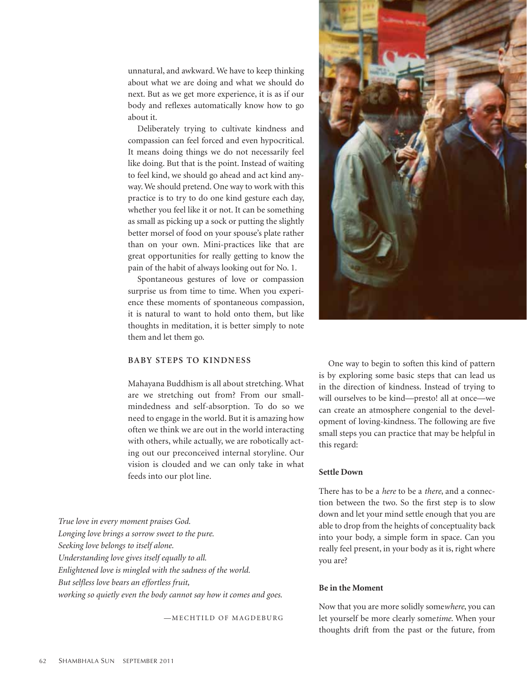unnatural, and awkward. We have to keep thinking about what we are doing and what we should do next. But as we get more experience, it is as if our body and reflexes automatically know how to go about it.

Deliberately trying to cultivate kindness and compassion can feel forced and even hypocritical. It means doing things we do not necessarily feel like doing. But that is the point. Instead of waiting to feel kind, we should go ahead and act kind anyway. We should pretend. One way to work with this practice is to try to do one kind gesture each day, whether you feel like it or not. It can be something as small as picking up a sock or putting the slightly better morsel of food on your spouse's plate rather than on your own. Mini-practices like that are great opportunities for really getting to know the pain of the habit of always looking out for No. 1.

Spontaneous gestures of love or compassion surprise us from time to time. When you experience these moments of spontaneous compassion, it is natural to want to hold onto them, but like thoughts in meditation, it is better simply to note them and let them go.

## **Baby Steps to Kindness**

Mahayana Buddhism is all about stretching. What are we stretching out from? From our smallmindedness and self-absorption. To do so we need to engage in the world. But it is amazing how often we think we are out in the world interacting with others, while actually, we are robotically acting out our preconceived internal storyline. Our vision is clouded and we can only take in what feeds into our plot line.

One way to begin to soften this kind of pattern is by exploring some basic steps that can lead us in the direction of kindness. Instead of trying to will ourselves to be kind—presto! all at once—we can create an atmosphere congenial to the development of loving-kindness. The following are five small steps you can practice that may be helpful in this regard:

#### **Settle Down**

There has to be a *here* to be a *there*, and a connection between the two. So the first step is to slow down and let your mind settle enough that you are able to drop from the heights of conceptuality back into your body, a simple form in space. Can you really feel present, in your body as it is, right where you are?

## **Be in the Moment**

Now that you are more solidly some*where*, you can let yourself be more clearly some*time*. When your thoughts drift from the past or the future, from

*True love in every moment praises God. Longing love brings a sorrow sweet to the pure. Seeking love belongs to itself alone. Understanding love gives itself equally to all. Enlightened love is mingled with the sadness of the world. But selfless love bears an effortless fruit, working so quietly even the body cannot say how it comes and goes.*

—MECHTILD OF MAGDEBURG